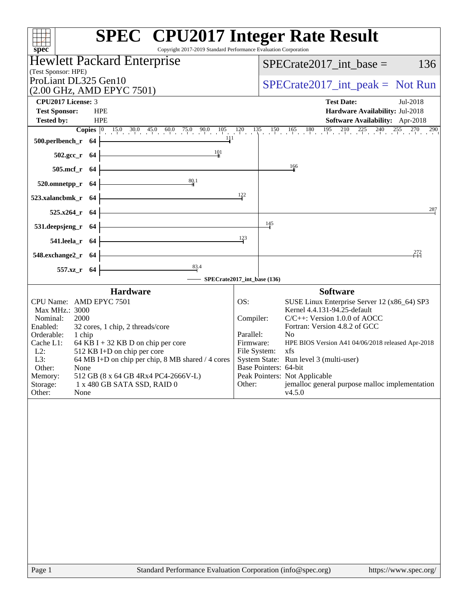| <b>SPEC<sup>®</sup></b> CPU2017 Integer Rate Result<br>Copyright 2017-2019 Standard Performance Evaluation Corporation<br>spec <sup>®</sup>                                                           |                        |                                                                                                                                                                                 |
|-------------------------------------------------------------------------------------------------------------------------------------------------------------------------------------------------------|------------------------|---------------------------------------------------------------------------------------------------------------------------------------------------------------------------------|
| <b>Hewlett Packard Enterprise</b><br>(Test Sponsor: HPE)                                                                                                                                              |                        | 136<br>$SPECrate2017\_int\_base =$                                                                                                                                              |
| ProLiant DL325 Gen10<br>(2.00 GHz, AMD EPYC 7501)                                                                                                                                                     |                        | $SPECrate2017\_int\_peak = Not Run$                                                                                                                                             |
| <b>CPU2017 License: 3</b>                                                                                                                                                                             |                        | <b>Test Date:</b><br>Jul-2018                                                                                                                                                   |
| <b>Test Sponsor:</b><br><b>HPE</b>                                                                                                                                                                    |                        | Hardware Availability: Jul-2018                                                                                                                                                 |
| <b>Tested by:</b><br><b>HPE</b>                                                                                                                                                                       |                        | Software Availability: Apr-2018                                                                                                                                                 |
|                                                                                                                                                                                                       |                        | <b>Copies</b> $\begin{bmatrix} 0 & 15 & 0 & 30 & 0 & 45 & 0 & 60 & 0 & 75 & 0 & 90 & 105 & 120 & 135 & 150 & 165 & 180 & 195 & 210 & 225 & 240 & 255 & 270 & 290 \end{bmatrix}$ |
| $\begin{array}{c c c c c} & & & & 1 & 1 & 1 \\ \hline & & & & & & 1 & 1 \\ \hline & & & & & & & 1 \\ \hline & & & & & & & 1 \\ \hline & & & & & & & 1 \\ \hline \end{array}$<br>$500.$ perlbench_r 64 |                        |                                                                                                                                                                                 |
| $\frac{101}{4}$<br>$502.\text{sec}_r$ 64                                                                                                                                                              |                        | $\frac{166}{1}$                                                                                                                                                                 |
| $505.\text{mcf}_r$ 64<br>80.1                                                                                                                                                                         |                        |                                                                                                                                                                                 |
| $520.0$ mnetpp_r 64                                                                                                                                                                                   | 122                    |                                                                                                                                                                                 |
| $523.xalancbmk_r 64$<br>$525.x264$ _r 64                                                                                                                                                              |                        | 287                                                                                                                                                                             |
| 531.deepsjeng_r 64  -                                                                                                                                                                                 | 145                    |                                                                                                                                                                                 |
| 541.leela_r 64                                                                                                                                                                                        | 123                    |                                                                                                                                                                                 |
| 548.exchange2_r $64$                                                                                                                                                                                  |                        | 272                                                                                                                                                                             |
| 557.xz_r 64                                                                                                                                                                                           |                        |                                                                                                                                                                                 |
| SPECrate2017_int_base (136)                                                                                                                                                                           |                        |                                                                                                                                                                                 |
| <b>Hardware</b>                                                                                                                                                                                       |                        | <b>Software</b>                                                                                                                                                                 |
| CPU Name: AMD EPYC 7501<br>Max MHz.: 3000<br>Nominal:<br>2000                                                                                                                                         | OS:<br>Compiler:       | SUSE Linux Enterprise Server 12 (x86_64) SP3<br>Kernel 4.4.131-94.25-default<br>$C/C++$ : Version 1.0.0 of AOCC                                                                 |
| 32 cores, 1 chip, 2 threads/core<br>Enabled:                                                                                                                                                          |                        | Fortran: Version 4.8.2 of GCC                                                                                                                                                   |
| Orderable:<br>1 chip<br>64 KB I + 32 KB D on chip per core<br>Cache L1:                                                                                                                               | Parallel:<br>Firmware: | N <sub>0</sub><br>HPE BIOS Version A41 04/06/2018 released Apr-2018                                                                                                             |
| 512 KB I+D on chip per core<br>$L2$ :                                                                                                                                                                 | File System:           | xfs<br>System State: Run level 3 (multi-user)                                                                                                                                   |
| 64 MB I+D on chip per chip, 8 MB shared / 4 cores<br>L3:<br>Other:<br>None                                                                                                                            | Base Pointers: 64-bit  |                                                                                                                                                                                 |
| 512 GB (8 x 64 GB 4Rx4 PC4-2666V-L)<br>Memory:                                                                                                                                                        |                        | Peak Pointers: Not Applicable                                                                                                                                                   |
| Storage:<br>1 x 480 GB SATA SSD, RAID 0<br>Other:<br>None                                                                                                                                             | Other:                 | jemalloc general purpose malloc implementation<br>v4.5.0                                                                                                                        |
|                                                                                                                                                                                                       |                        |                                                                                                                                                                                 |
| Page 1<br>Standard Performance Evaluation Corporation (info@spec.org)                                                                                                                                 |                        | https://www.spec.org/                                                                                                                                                           |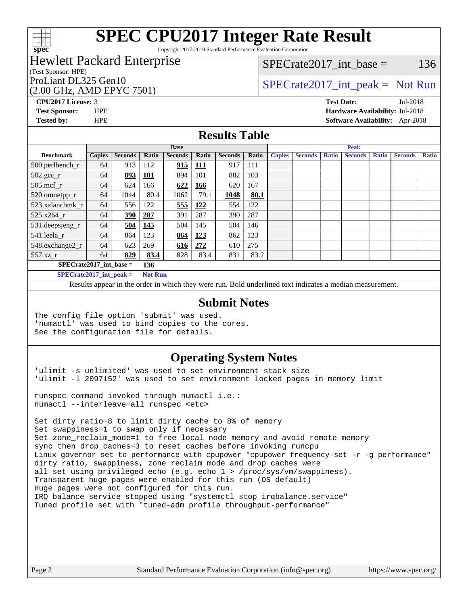

Copyright 2017-2019 Standard Performance Evaluation Corporation

## Hewlett Packard Enterprise

(Test Sponsor: HPE)

## (2.00 GHz, AMD EPYC 7501)

 $SPECTate2017\_int\_base = 136$ 

## ProLiant DL325 Gen10  $SPECTA = 2017$  int peak = Not Run

**[CPU2017 License:](http://www.spec.org/auto/cpu2017/Docs/result-fields.html#CPU2017License)** 3 **[Test Date:](http://www.spec.org/auto/cpu2017/Docs/result-fields.html#TestDate)** Jul-2018

**[Test Sponsor:](http://www.spec.org/auto/cpu2017/Docs/result-fields.html#TestSponsor)** HPE **[Hardware Availability:](http://www.spec.org/auto/cpu2017/Docs/result-fields.html#HardwareAvailability)** Jul-2018

**[Tested by:](http://www.spec.org/auto/cpu2017/Docs/result-fields.html#Testedby)** HPE **[Software Availability:](http://www.spec.org/auto/cpu2017/Docs/result-fields.html#SoftwareAvailability)** Apr-2018

#### **[Results Table](http://www.spec.org/auto/cpu2017/Docs/result-fields.html#ResultsTable)**

|                                  | <b>Base</b>   |                |                |                |             |                | <b>Peak</b> |               |                |              |                |              |                |              |
|----------------------------------|---------------|----------------|----------------|----------------|-------------|----------------|-------------|---------------|----------------|--------------|----------------|--------------|----------------|--------------|
| <b>Benchmark</b>                 | <b>Copies</b> | <b>Seconds</b> | Ratio          | <b>Seconds</b> | Ratio       | <b>Seconds</b> | Ratio       | <b>Copies</b> | <b>Seconds</b> | <b>Ratio</b> | <b>Seconds</b> | <b>Ratio</b> | <b>Seconds</b> | <b>Ratio</b> |
| $500.$ perlbench_r               | 64            | 913            | 112            | 915            | <u> 111</u> | 917            | 111         |               |                |              |                |              |                |              |
| $502.\text{sec}$                 | 64            | 893            | <b>101</b>     | 894            | 101         | 882            | 103         |               |                |              |                |              |                |              |
| $505$ .mcf r                     | 64            | 624            | 166            | 622            | <u>166</u>  | 620            | 167         |               |                |              |                |              |                |              |
| 520.omnetpp_r                    | 64            | 1044           | 80.4           | 1062           | 79.1        | 1048           | 80.1        |               |                |              |                |              |                |              |
| 523.xalancbmk r                  | 64            | 556            | 122            | 555            | 122         | 554            | 122         |               |                |              |                |              |                |              |
| 525.x264 r                       | 64            | 390            | 287            | 391            | 287         | 390            | 287         |               |                |              |                |              |                |              |
| 531.deepsjeng_r                  | 64            | 504            | 145            | 504            | 145         | 504            | 146         |               |                |              |                |              |                |              |
| 541.leela r                      | 64            | 864            | 123            | 864            | 123         | 862            | 123         |               |                |              |                |              |                |              |
| 548.exchange2_r                  | 64            | 623            | 269            | 616            | 272         | 610            | 275         |               |                |              |                |              |                |              |
| 557.xz r                         | 64            | 829            | 83.4           | 828            | 83.4        | 831            | 83.2        |               |                |              |                |              |                |              |
| $SPECrate2017$ int base =<br>136 |               |                |                |                |             |                |             |               |                |              |                |              |                |              |
| $\rm\bf SPFCrata2017$ int neak – |               |                | <b>Not Run</b> |                |             |                |             |               |                |              |                |              |                |              |

**[SPECrate2017\\_int\\_peak =](http://www.spec.org/auto/cpu2017/Docs/result-fields.html#SPECrate2017intpeak) Not Run**

Results appear in the [order in which they were run.](http://www.spec.org/auto/cpu2017/Docs/result-fields.html#RunOrder) Bold underlined text [indicates a median measurement.](http://www.spec.org/auto/cpu2017/Docs/result-fields.html#Median)

#### **[Submit Notes](http://www.spec.org/auto/cpu2017/Docs/result-fields.html#SubmitNotes)**

The config file option 'submit' was used. 'numactl' was used to bind copies to the cores. See the configuration file for details.

#### **[Operating System Notes](http://www.spec.org/auto/cpu2017/Docs/result-fields.html#OperatingSystemNotes)**

'ulimit -s unlimited' was used to set environment stack size 'ulimit -l 2097152' was used to set environment locked pages in memory limit

runspec command invoked through numactl i.e.: numactl --interleave=all runspec <etc>

Set dirty ratio=8 to limit dirty cache to 8% of memory Set swappiness=1 to swap only if necessary Set zone\_reclaim\_mode=1 to free local node memory and avoid remote memory sync then drop\_caches=3 to reset caches before invoking runcpu Linux governor set to performance with cpupower "cpupower frequency-set -r -g performance" dirty\_ratio, swappiness, zone\_reclaim\_mode and drop\_caches were all set using privileged echo (e.g. echo 1 > /proc/sys/vm/swappiness). Transparent huge pages were enabled for this run (OS default) Huge pages were not configured for this run. IRQ balance service stopped using "systemctl stop irqbalance.service" Tuned profile set with "tuned-adm profile throughput-performance"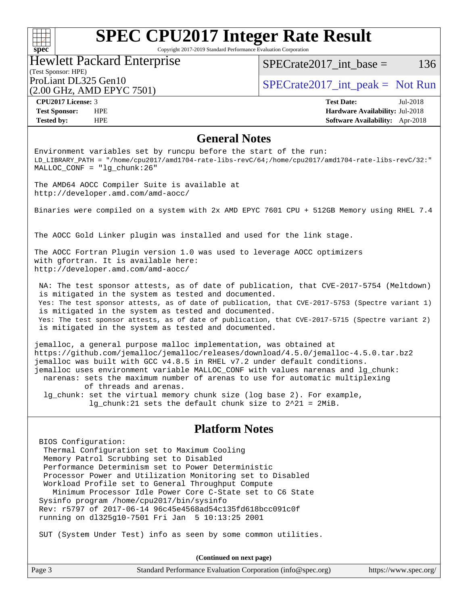### $+\!\!+\!\!$ **[spec](http://www.spec.org/)**

# **[SPEC CPU2017 Integer Rate Result](http://www.spec.org/auto/cpu2017/Docs/result-fields.html#SPECCPU2017IntegerRateResult)**

Copyright 2017-2019 Standard Performance Evaluation Corporation

### (Test Sponsor: HPE) Hewlett Packard Enterprise (2.00 GHz, AMD EPYC 7501)

SPECrate  $2017$  int base = 136

ProLiant DL325 Gen10  $SPECTA = 2017$  int\_peak = Not Run

**[CPU2017 License:](http://www.spec.org/auto/cpu2017/Docs/result-fields.html#CPU2017License)** 3 **[Test Date:](http://www.spec.org/auto/cpu2017/Docs/result-fields.html#TestDate)** Jul-2018 **[Test Sponsor:](http://www.spec.org/auto/cpu2017/Docs/result-fields.html#TestSponsor)** HPE **[Hardware Availability:](http://www.spec.org/auto/cpu2017/Docs/result-fields.html#HardwareAvailability)** Jul-2018 **[Tested by:](http://www.spec.org/auto/cpu2017/Docs/result-fields.html#Testedby)** HPE **[Software Availability:](http://www.spec.org/auto/cpu2017/Docs/result-fields.html#SoftwareAvailability)** Apr-2018

### **[General Notes](http://www.spec.org/auto/cpu2017/Docs/result-fields.html#GeneralNotes)**

Environment variables set by runcpu before the start of the run: LD\_LIBRARY\_PATH = "/home/cpu2017/amd1704-rate-libs-revC/64;/home/cpu2017/amd1704-rate-libs-revC/32:" MALLOC\_CONF = "lg\_chunk:26"

The AMD64 AOCC Compiler Suite is available at <http://developer.amd.com/amd-aocc/>

Binaries were compiled on a system with 2x AMD EPYC 7601 CPU + 512GB Memory using RHEL 7.4

The AOCC Gold Linker plugin was installed and used for the link stage.

The AOCC Fortran Plugin version 1.0 was used to leverage AOCC optimizers with gfortran. It is available here: <http://developer.amd.com/amd-aocc/>

 NA: The test sponsor attests, as of date of publication, that CVE-2017-5754 (Meltdown) is mitigated in the system as tested and documented. Yes: The test sponsor attests, as of date of publication, that CVE-2017-5753 (Spectre variant 1) is mitigated in the system as tested and documented. Yes: The test sponsor attests, as of date of publication, that CVE-2017-5715 (Spectre variant 2) is mitigated in the system as tested and documented.

jemalloc, a general purpose malloc implementation, was obtained at <https://github.com/jemalloc/jemalloc/releases/download/4.5.0/jemalloc-4.5.0.tar.bz2> jemalloc was built with GCC v4.8.5 in RHEL v7.2 under default conditions. jemalloc uses environment variable MALLOC\_CONF with values narenas and lg\_chunk: narenas: sets the maximum number of arenas to use for automatic multiplexing of threads and arenas. lg\_chunk: set the virtual memory chunk size (log base 2). For example, lg\_chunk:21 sets the default chunk size to 2^21 = 2MiB.

#### **[Platform Notes](http://www.spec.org/auto/cpu2017/Docs/result-fields.html#PlatformNotes)**

 BIOS Configuration: Thermal Configuration set to Maximum Cooling Memory Patrol Scrubbing set to Disabled Performance Determinism set to Power Deterministic Processor Power and Utilization Monitoring set to Disabled Workload Profile set to General Throughput Compute Minimum Processor Idle Power Core C-State set to C6 State Sysinfo program /home/cpu2017/bin/sysinfo Rev: r5797 of 2017-06-14 96c45e4568ad54c135fd618bcc091c0f running on dl325g10-7501 Fri Jan 5 10:13:25 2001

SUT (System Under Test) info as seen by some common utilities.

**(Continued on next page)**

| Page 3<br>Standard Performance Evaluation Corporation (info@spec.org)<br>https://www.spec.org/ |
|------------------------------------------------------------------------------------------------|
|------------------------------------------------------------------------------------------------|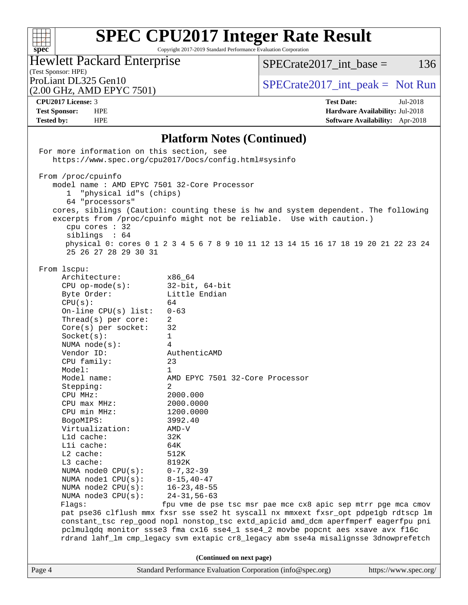

Copyright 2017-2019 Standard Performance Evaluation Corporation

## Hewlett Packard Enterprise

 $SPECTate2017\_int\_base = 136$ 

## (Test Sponsor: HPE)<br>ProLiant DL325 Gen10

(2.00 GHz, AMD EPYC 7501)

 $SPECTate2017\_int\_peak = Not Run$ 

**[CPU2017 License:](http://www.spec.org/auto/cpu2017/Docs/result-fields.html#CPU2017License)** 3 **[Test Date:](http://www.spec.org/auto/cpu2017/Docs/result-fields.html#TestDate)** Jul-2018 **[Test Sponsor:](http://www.spec.org/auto/cpu2017/Docs/result-fields.html#TestSponsor)** HPE **[Hardware Availability:](http://www.spec.org/auto/cpu2017/Docs/result-fields.html#HardwareAvailability)** Jul-2018 **[Tested by:](http://www.spec.org/auto/cpu2017/Docs/result-fields.html#Testedby)** HPE **[Software Availability:](http://www.spec.org/auto/cpu2017/Docs/result-fields.html#SoftwareAvailability)** Apr-2018

### **[Platform Notes \(Continued\)](http://www.spec.org/auto/cpu2017/Docs/result-fields.html#PlatformNotes)**

|        | For more information on this section, see                                                                                                                                                                                                                                                                                                                                                                                                                                                                                          | https://www.spec.org/cpu2017/Docs/config.html#sysinfo                                                                                                                                                                                                                                                                                                                                                                                                                                 |                       |
|--------|------------------------------------------------------------------------------------------------------------------------------------------------------------------------------------------------------------------------------------------------------------------------------------------------------------------------------------------------------------------------------------------------------------------------------------------------------------------------------------------------------------------------------------|---------------------------------------------------------------------------------------------------------------------------------------------------------------------------------------------------------------------------------------------------------------------------------------------------------------------------------------------------------------------------------------------------------------------------------------------------------------------------------------|-----------------------|
|        | From /proc/cpuinfo<br>model name : AMD EPYC 7501 32-Core Processor<br>"physical id"s (chips)<br>1<br>64 "processors"<br>cpu cores $: 32$<br>siblings : 64<br>25 26 27 28 29 30 31                                                                                                                                                                                                                                                                                                                                                  | cores, siblings (Caution: counting these is hw and system dependent. The following<br>excerpts from /proc/cpuinfo might not be reliable. Use with caution.)<br>physical 0: cores 0 1 2 3 4 5 6 7 8 9 10 11 12 13 14 15 16 17 18 19 20 21 22 23 24                                                                                                                                                                                                                                     |                       |
|        | From lscpu:<br>Architecture:<br>$CPU$ op-mode(s):<br>Byte Order:<br>CPU(s):<br>On-line CPU(s) list: $0-63$<br>$Thread(s)$ per core:<br>$Core(s)$ per socket: 32<br>Socket(s):<br>NUMA node(s):<br>Vendor ID:<br>CPU family:<br>Model:<br>Model name:<br>Stepping:<br>CPU MHz:<br>$CPU$ $max$ $MHz$ :<br>CPU min MHz: 1200.0000<br>BogoMIPS:<br>Virtualization:<br>L1d cache:<br>Lli cache:<br>$L2$ cache:<br>L3 cache:<br>NUMA $node0$ $CPU(s):$<br>NUMA $node1$ CPU $(s)$ :<br>NUMA node2 CPU(s):<br>NUMA node3 CPU(s):<br>Flags: | x86_64<br>$32$ -bit, $64$ -bit<br>Little Endian<br>64<br>2<br>$\mathbf{1}$<br>4<br>AuthenticAMD<br>23<br>$\mathbf{1}$<br>AMD EPYC 7501 32-Core Processor<br>2<br>2000.000<br>2000.0000<br>3992.40<br>AMD-V<br>32K<br>64K<br>512K<br>8192K<br>$0 - 7$ , 32-39<br>$8 - 15, 40 - 47$<br>$16 - 23, 48 - 55$<br>$24 - 31, 56 - 63$<br>fpu vme de pse tsc msr pae mce cx8 apic sep mtrr pge mca cmov<br>pat pse36 clflush mmx fxsr sse sse2 ht syscall nx mmxext fxsr_opt pdpelgb rdtscp lm |                       |
|        |                                                                                                                                                                                                                                                                                                                                                                                                                                                                                                                                    | constant_tsc rep_good nopl nonstop_tsc extd_apicid amd_dcm aperfmperf eagerfpu pni<br>pclmulqdq monitor ssse3 fma cx16 sse4_1 sse4_2 movbe popcnt aes xsave avx f16c<br>rdrand lahf_lm cmp_legacy svm extapic cr8_legacy abm sse4a misalignsse 3dnowprefetch                                                                                                                                                                                                                          |                       |
| Page 4 |                                                                                                                                                                                                                                                                                                                                                                                                                                                                                                                                    | (Continued on next page)<br>Standard Performance Evaluation Corporation (info@spec.org)                                                                                                                                                                                                                                                                                                                                                                                               | https://www.spec.org/ |
|        |                                                                                                                                                                                                                                                                                                                                                                                                                                                                                                                                    |                                                                                                                                                                                                                                                                                                                                                                                                                                                                                       |                       |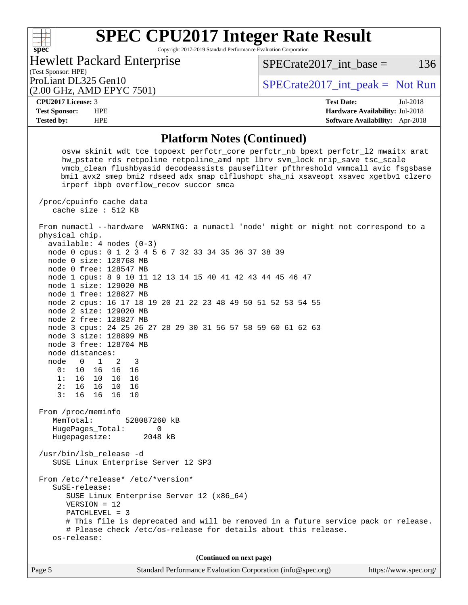Copyright 2017-2019 Standard Performance Evaluation Corporation

(Test Sponsor: HPE)<br>ProLiant DL325 Gen10 Hewlett Packard Enterprise

 $SPECTate2017\_int\_peak = Not Run$  $SPECTate2017\_int\_base = 136$ 

# (2.00 GHz, AMD EPYC 7501)

**[spec](http://www.spec.org/)**

 $\pm$ 

**[CPU2017 License:](http://www.spec.org/auto/cpu2017/Docs/result-fields.html#CPU2017License)** 3 **[Test Date:](http://www.spec.org/auto/cpu2017/Docs/result-fields.html#TestDate)** Jul-2018 **[Test Sponsor:](http://www.spec.org/auto/cpu2017/Docs/result-fields.html#TestSponsor)** HPE **[Hardware Availability:](http://www.spec.org/auto/cpu2017/Docs/result-fields.html#HardwareAvailability)** Jul-2018 **[Tested by:](http://www.spec.org/auto/cpu2017/Docs/result-fields.html#Testedby)** HPE **[Software Availability:](http://www.spec.org/auto/cpu2017/Docs/result-fields.html#SoftwareAvailability)** Apr-2018

### **[Platform Notes \(Continued\)](http://www.spec.org/auto/cpu2017/Docs/result-fields.html#PlatformNotes)**

| I lativi ili Potes (Continueu)                                                                                                                                                                                                                                                                                                                                                                                                                                                                                                                                                                                                                                                                                               |  |  |  |  |
|------------------------------------------------------------------------------------------------------------------------------------------------------------------------------------------------------------------------------------------------------------------------------------------------------------------------------------------------------------------------------------------------------------------------------------------------------------------------------------------------------------------------------------------------------------------------------------------------------------------------------------------------------------------------------------------------------------------------------|--|--|--|--|
| osvw skinit wdt tce topoext perfctr_core perfctr_nb bpext perfctr_12 mwaitx arat<br>hw_pstate rds retpoline retpoline_amd npt lbrv svm_lock nrip_save tsc_scale<br>vmcb_clean flushbyasid decodeassists pausefilter pfthreshold vmmcall avic fsgsbase<br>bmil avx2 smep bmi2 rdseed adx smap clflushopt sha_ni xsaveopt xsavec xgetbvl clzero<br>irperf ibpb overflow_recov succor smca                                                                                                                                                                                                                                                                                                                                      |  |  |  |  |
| /proc/cpuinfo cache data<br>cache size : 512 KB                                                                                                                                                                                                                                                                                                                                                                                                                                                                                                                                                                                                                                                                              |  |  |  |  |
| From numactl --hardware WARNING: a numactl 'node' might or might not correspond to a<br>physical chip.<br>$available: 4 nodes (0-3)$<br>node 0 cpus: 0 1 2 3 4 5 6 7 32 33 34 35 36 37 38 39<br>node 0 size: 128768 MB<br>node 0 free: 128547 MB<br>node 1 cpus: 8 9 10 11 12 13 14 15 40 41 42 43 44 45 46 47<br>node 1 size: 129020 MB<br>node 1 free: 128827 MB<br>node 2 cpus: 16 17 18 19 20 21 22 23 48 49 50 51 52 53 54 55<br>node 2 size: 129020 MB<br>node 2 free: 128827 MB<br>node 3 cpus: 24 25 26 27 28 29 30 31 56 57 58 59 60 61 62 63<br>node 3 size: 128899 MB<br>node 3 free: 128704 MB<br>node distances:<br>node 0 1<br>2 3<br>0: 10 16 16 16<br>1: 16 10 16 16<br>2: 16 16<br>10 16<br>3:1616<br>16 10 |  |  |  |  |
| From /proc/meminfo<br>MemTotal:<br>528087260 kB<br>HugePages_Total:<br>0<br>Hugepagesize: 2048 kB<br>/usr/bin/lsb_release -d<br>SUSE Linux Enterprise Server 12 SP3                                                                                                                                                                                                                                                                                                                                                                                                                                                                                                                                                          |  |  |  |  |
| From /etc/*release* /etc/*version*<br>SuSE-release:<br>SUSE Linux Enterprise Server 12 (x86_64)<br>$VERSION = 12$<br>$PATCHLEVEL = 3$<br># This file is deprecated and will be removed in a future service pack or release.<br># Please check /etc/os-release for details about this release.<br>os-release:                                                                                                                                                                                                                                                                                                                                                                                                                 |  |  |  |  |
| (Continued on next page)                                                                                                                                                                                                                                                                                                                                                                                                                                                                                                                                                                                                                                                                                                     |  |  |  |  |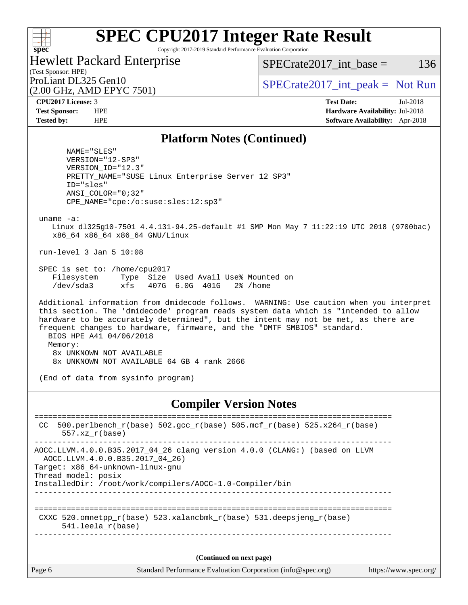#### $+\ +$ **[spec](http://www.spec.org/)**

# **[SPEC CPU2017 Integer Rate Result](http://www.spec.org/auto/cpu2017/Docs/result-fields.html#SPECCPU2017IntegerRateResult)**

Copyright 2017-2019 Standard Performance Evaluation Corporation

#### (Test Sponsor: HPE) Hewlett Packard Enterprise

 $SPECTate2017\_int\_base = 136$ 

(2.00 GHz, AMD EPYC 7501)

ProLiant DL325 Gen10  $SPECTA = 2017$  int peak = Not Run

**[CPU2017 License:](http://www.spec.org/auto/cpu2017/Docs/result-fields.html#CPU2017License)** 3 **[Test Date:](http://www.spec.org/auto/cpu2017/Docs/result-fields.html#TestDate)** Jul-2018 **[Test Sponsor:](http://www.spec.org/auto/cpu2017/Docs/result-fields.html#TestSponsor)** HPE **[Hardware Availability:](http://www.spec.org/auto/cpu2017/Docs/result-fields.html#HardwareAvailability)** Jul-2018 **[Tested by:](http://www.spec.org/auto/cpu2017/Docs/result-fields.html#Testedby)** HPE **[Software Availability:](http://www.spec.org/auto/cpu2017/Docs/result-fields.html#SoftwareAvailability)** Apr-2018

#### **[Platform Notes \(Continued\)](http://www.spec.org/auto/cpu2017/Docs/result-fields.html#PlatformNotes)**

 NAME="SLES" VERSION="12-SP3" VERSION\_ID="12.3" PRETTY\_NAME="SUSE Linux Enterprise Server 12 SP3" ID="sles" ANSI\_COLOR="0;32" CPE\_NAME="cpe:/o:suse:sles:12:sp3"

uname -a:

 Linux dl325g10-7501 4.4.131-94.25-default #1 SMP Mon May 7 11:22:19 UTC 2018 (9700bac) x86\_64 x86\_64 x86\_64 GNU/Linux

run-level 3 Jan 5 10:08

 SPEC is set to: /home/cpu2017 Filesystem Type Size Used Avail Use% Mounted on /dev/sda3 xfs 407G 6.0G 401G 2% /home

 Additional information from dmidecode follows. WARNING: Use caution when you interpret this section. The 'dmidecode' program reads system data which is "intended to allow hardware to be accurately determined", but the intent may not be met, as there are frequent changes to hardware, firmware, and the "DMTF SMBIOS" standard. BIOS HPE A41 04/06/2018 Memory: 8x UNKNOWN NOT AVAILABLE 8x UNKNOWN NOT AVAILABLE 64 GB 4 rank 2666

(End of data from sysinfo program)

#### **[Compiler Version Notes](http://www.spec.org/auto/cpu2017/Docs/result-fields.html#CompilerVersionNotes)**

| CC.    | 500.perlbench $r(base)$ 502.gcc $r(base)$ 505.mcf $r(base)$ 525.x264 $r(base)$<br>$557.xx$ $r(base)$                                                                                                                                 |  |
|--------|--------------------------------------------------------------------------------------------------------------------------------------------------------------------------------------------------------------------------------------|--|
|        | AOCC.LLVM.4.0.0.B35.2017 04 26 clang version 4.0.0 (CLANG:) (based on LLVM<br>AOCC.LLVM.4.0.0.B35.2017 04 26)<br>Target: x86 64-unknown-linux-gnu<br>Thread model: posix<br>InstalledDir: /root/work/compilers/AOCC-1.0-Compiler/bin |  |
|        | CXXC 520.omnetpp_r(base) 523.xalancbmk_r(base) 531.deepsjeng_r(base)<br>$541.$ leela r(base)                                                                                                                                         |  |
|        | (Continued on next page)                                                                                                                                                                                                             |  |
| Page 6 | Standard Performance Evaluation Corporation (info@spec.org)<br>https://www.spec.org/                                                                                                                                                 |  |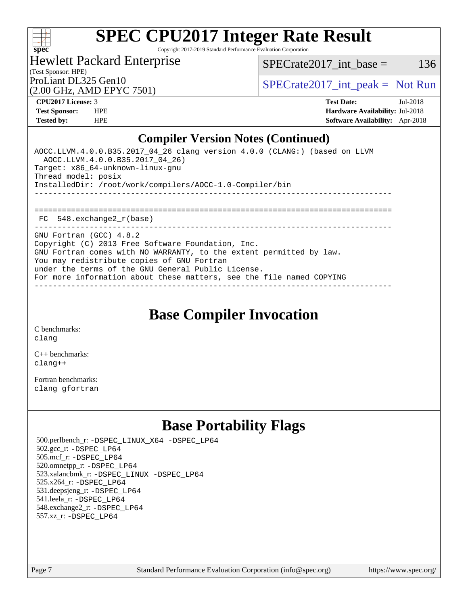

Copyright 2017-2019 Standard Performance Evaluation Corporation

(Test Sponsor: HPE) Hewlett Packard Enterprise

 $SPECTate2017\_int\_base = 136$ 

(2.00 GHz, AMD EPYC 7501)

ProLiant DL325 Gen10  $SPECTA = 2017$  int peak = Not Run

**[CPU2017 License:](http://www.spec.org/auto/cpu2017/Docs/result-fields.html#CPU2017License)** 3 **[Test Date:](http://www.spec.org/auto/cpu2017/Docs/result-fields.html#TestDate)** Jul-2018 **[Test Sponsor:](http://www.spec.org/auto/cpu2017/Docs/result-fields.html#TestSponsor)** HPE **[Hardware Availability:](http://www.spec.org/auto/cpu2017/Docs/result-fields.html#HardwareAvailability)** Jul-2018 **[Tested by:](http://www.spec.org/auto/cpu2017/Docs/result-fields.html#Testedby)** HPE **[Software Availability:](http://www.spec.org/auto/cpu2017/Docs/result-fields.html#SoftwareAvailability)** Apr-2018

### **[Compiler Version Notes \(Continued\)](http://www.spec.org/auto/cpu2017/Docs/result-fields.html#CompilerVersionNotes)**

AOCC.LLVM.4.0.0.B35.2017\_04\_26 clang version 4.0.0 (CLANG:) (based on LLVM AOCC.LLVM.4.0.0.B35.2017\_04\_26) Target: x86\_64-unknown-linux-gnu Thread model: posix InstalledDir: /root/work/compilers/AOCC-1.0-Compiler/bin ------------------------------------------------------------------------------ ============================================================================== FC 548.exchange2\_r(base) ------------------------------------------------------------------------------ GNU Fortran (GCC) 4.8.2 Copyright (C) 2013 Free Software Foundation, Inc. GNU Fortran comes with NO WARRANTY, to the extent permitted by law.

You may redistribute copies of GNU Fortran

under the terms of the GNU General Public License.

For more information about these matters, see the file named COPYING ------------------------------------------------------------------------------

**[Base Compiler Invocation](http://www.spec.org/auto/cpu2017/Docs/result-fields.html#BaseCompilerInvocation)**

[C benchmarks](http://www.spec.org/auto/cpu2017/Docs/result-fields.html#Cbenchmarks): [clang](http://www.spec.org/cpu2017/results/res2018q3/cpu2017-20180806-08149.flags.html#user_CCbase_Fclang3)

[C++ benchmarks:](http://www.spec.org/auto/cpu2017/Docs/result-fields.html#CXXbenchmarks) [clang++](http://www.spec.org/cpu2017/results/res2018q3/cpu2017-20180806-08149.flags.html#user_CXXbase_Fclang3_57a48582e5be507d19b2527b3e7d4f85d9b8669ffc9a8a0dbb9bcf949a918a58bbab411e0c4d14a3922022a3e425a90db94042683824c1806feff4324ca1000d)

[Fortran benchmarks](http://www.spec.org/auto/cpu2017/Docs/result-fields.html#Fortranbenchmarks): [clang](http://www.spec.org/cpu2017/results/res2018q3/cpu2017-20180806-08149.flags.html#user_FCbase_Fclang3) [gfortran](http://www.spec.org/cpu2017/results/res2018q3/cpu2017-20180806-08149.flags.html#user_FCbase_Fgfortran_128c91a56d61ddb07404721e65b8f9498c31a443dacbd3b7f212891090eca86e2d099b520f75b99e9e8ac4fdec01f4d15f0b65e47123ec4c42b0759045731a1f)

## **[Base Portability Flags](http://www.spec.org/auto/cpu2017/Docs/result-fields.html#BasePortabilityFlags)**

 500.perlbench\_r: [-DSPEC\\_LINUX\\_X64](http://www.spec.org/cpu2017/results/res2018q3/cpu2017-20180806-08149.flags.html#b500.perlbench_r_basePORTABILITY_DSPEC_LINUX_X64) [-DSPEC\\_LP64](http://www.spec.org/cpu2017/results/res2018q3/cpu2017-20180806-08149.flags.html#b500.perlbench_r_baseEXTRA_PORTABILITY_DSPEC_LP64) 502.gcc\_r: [-DSPEC\\_LP64](http://www.spec.org/cpu2017/results/res2018q3/cpu2017-20180806-08149.flags.html#suite_baseEXTRA_PORTABILITY502_gcc_r_DSPEC_LP64) 505.mcf\_r: [-DSPEC\\_LP64](http://www.spec.org/cpu2017/results/res2018q3/cpu2017-20180806-08149.flags.html#suite_baseEXTRA_PORTABILITY505_mcf_r_DSPEC_LP64) 520.omnetpp\_r: [-DSPEC\\_LP64](http://www.spec.org/cpu2017/results/res2018q3/cpu2017-20180806-08149.flags.html#suite_baseEXTRA_PORTABILITY520_omnetpp_r_DSPEC_LP64) 523.xalancbmk\_r: [-DSPEC\\_LINUX](http://www.spec.org/cpu2017/results/res2018q3/cpu2017-20180806-08149.flags.html#b523.xalancbmk_r_basePORTABILITY_DSPEC_LINUX) [-DSPEC\\_LP64](http://www.spec.org/cpu2017/results/res2018q3/cpu2017-20180806-08149.flags.html#suite_baseEXTRA_PORTABILITY523_xalancbmk_r_DSPEC_LP64) 525.x264\_r: [-DSPEC\\_LP64](http://www.spec.org/cpu2017/results/res2018q3/cpu2017-20180806-08149.flags.html#suite_baseEXTRA_PORTABILITY525_x264_r_DSPEC_LP64) 531.deepsjeng\_r: [-DSPEC\\_LP64](http://www.spec.org/cpu2017/results/res2018q3/cpu2017-20180806-08149.flags.html#suite_baseEXTRA_PORTABILITY531_deepsjeng_r_DSPEC_LP64) 541.leela\_r: [-DSPEC\\_LP64](http://www.spec.org/cpu2017/results/res2018q3/cpu2017-20180806-08149.flags.html#suite_baseEXTRA_PORTABILITY541_leela_r_DSPEC_LP64) 548.exchange2\_r: [-DSPEC\\_LP64](http://www.spec.org/cpu2017/results/res2018q3/cpu2017-20180806-08149.flags.html#suite_baseEXTRA_PORTABILITY548_exchange2_r_DSPEC_LP64) 557.xz\_r: [-DSPEC\\_LP64](http://www.spec.org/cpu2017/results/res2018q3/cpu2017-20180806-08149.flags.html#suite_baseEXTRA_PORTABILITY557_xz_r_DSPEC_LP64)